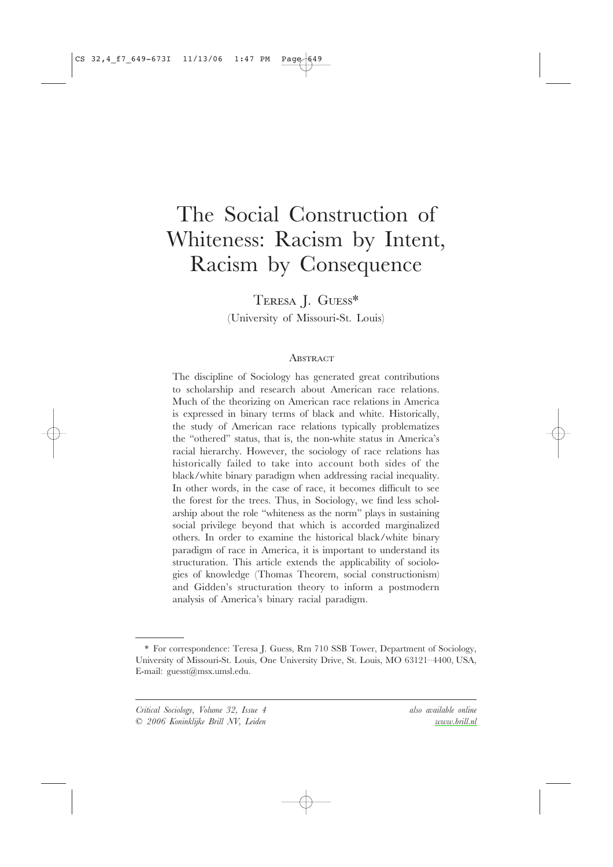# The Social Construction of Whiteness: Racism by Intent, Racism by Consequence

TERESA J. GUESS\* (University of Missouri-St. Louis)

#### ABSTRACT

The discipline of Sociology has generated great contributions to scholarship and research about American race relations. Much of the theorizing on American race relations in America is expressed in binary terms of black and white. Historically, the study of American race relations typically problematizes the "othered" status, that is, the non-white status in America's racial hierarchy. However, the sociology of race relations has historically failed to take into account both sides of the black/white binary paradigm when addressing racial inequality. In other words, in the case of race, it becomes difficult to see the forest for the trees. Thus, in Sociology, we find less scholarship about the role "whiteness as the norm" plays in sustaining social privilege beyond that which is accorded marginalized others. In order to examine the historical black/white binary paradigm of race in America, it is important to understand its structuration. This article extends the applicability of sociologies of knowledge (Thomas Theorem, social constructionism) and Gidden's structuration theory to inform a postmodern analysis of America's binary racial paradigm.

<sup>\*</sup> For correspondence: Teresa J. Guess, Rm 710 SSB Tower, Department of Sociology, University of Missouri-St. Louis, One University Drive, St. Louis, MO 63121-4400, USA, E-mail: guesst@msx.umsl.edu.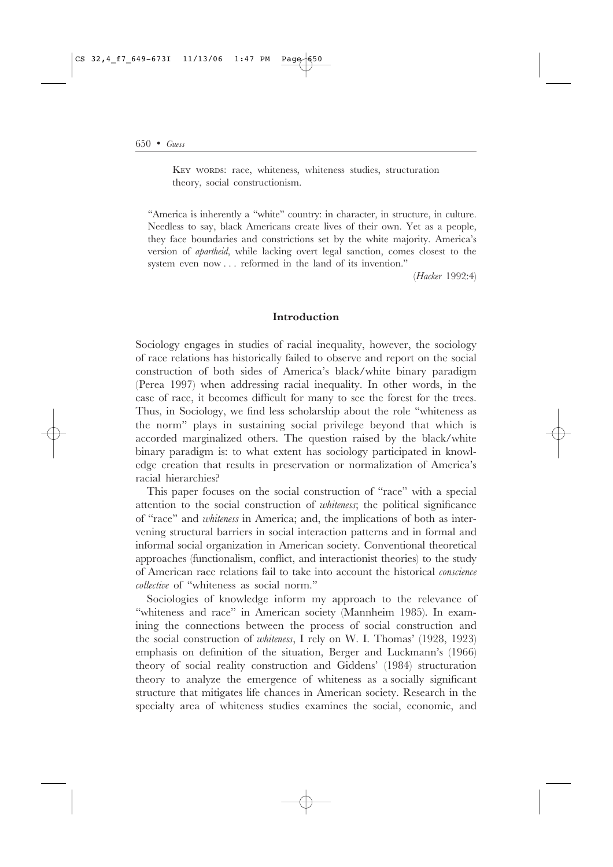KEY WORDS: race, whiteness, whiteness studies, structuration theory, social constructionism.

"America is inherently a "white" country: in character, in structure, in culture. Needless to say, black Americans create lives of their own. Yet as a people, they face boundaries and constrictions set by the white majority. America's version of *apartheid*, while lacking overt legal sanction, comes closest to the system even now ... reformed in the land of its invention."

(Hacker 1992:4)

## **Introduction**

Sociology engages in studies of racial inequality, however, the sociology of race relations has historically failed to observe and report on the social construction of both sides of America's black/white binary paradigm (Perea 1997) when addressing racial inequality. In other words, in the case of race, it becomes difficult for many to see the forest for the trees. Thus, in Sociology, we find less scholarship about the role "whiteness as the norm" plays in sustaining social privilege beyond that which is accorded marginalized others. The question raised by the black/white binary paradigm is: to what extent has sociology participated in knowledge creation that results in preservation or normalization of America's racial hierarchies?

This paper focuses on the social construction of "race" with a special attention to the social construction of whiteness; the political significance of "race" and whiteness in America; and, the implications of both as intervening structural barriers in social interaction patterns and in formal and informal social organization in American society. Conventional theoretical approaches (functionalism, conflict, and interactionist theories) to the study of American race relations fail to take into account the historical *conscience collective* of "whiteness as social norm."

Sociologies of knowledge inform my approach to the relevance of "whiteness and race" in American society (Mannheim 1985). In examining the connections between the process of social construction and the social construction of whiteness, I rely on W. I. Thomas' (1928, 1923) emphasis on definition of the situation, Berger and Luckmann's (1966) theory of social reality construction and Giddens' (1984) structuration theory to analyze the emergence of whiteness as a socially significant structure that mitigates life chances in American society. Research in the specialty area of whiteness studies examines the social, economic, and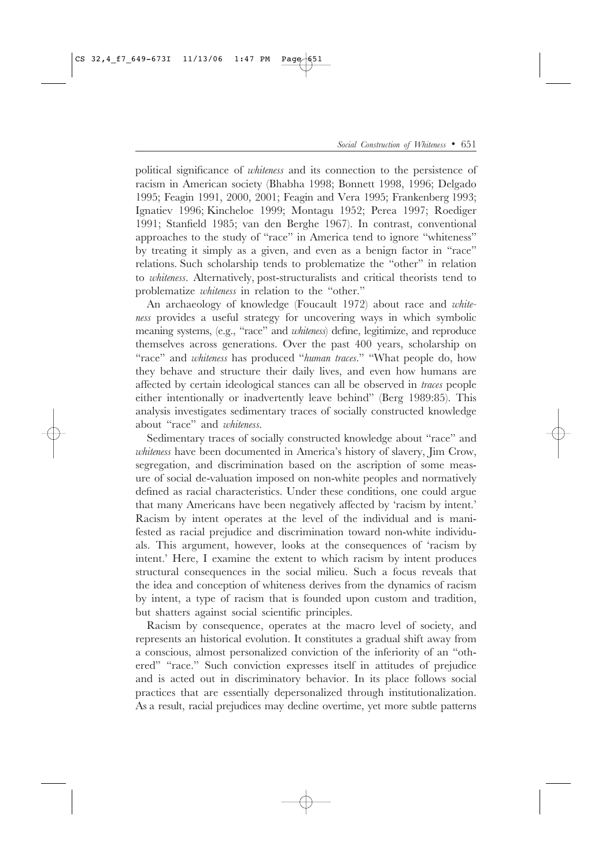political significance of whiteness and its connection to the persistence of racism in American society (Bhabha 1998; Bonnett 1998, 1996; Delgado 1995; Feagin 1991, 2000, 2001; Feagin and Vera 1995; Frankenberg 1993; Ignatiev 1996; Kincheloe 1999; Montagu 1952; Perea 1997; Roediger 1991; Stanfield 1985; van den Berghe 1967). In contrast, conventional approaches to the study of "race" in America tend to ignore "whiteness" by treating it simply as a given, and even as a benign factor in "race" relations. Such scholarship tends to problematize the "other" in relation to whiteness. Alternatively, post-structuralists and critical theorists tend to problematize whiteness in relation to the "other."

An archaeology of knowledge (Foucault 1972) about race and whiteness provides a useful strategy for uncovering ways in which symbolic meaning systems, (e.g., "race" and whiteness) define, legitimize, and reproduce themselves across generations. Over the past 400 years, scholarship on "race" and whiteness has produced "human traces." "What people do, how they behave and structure their daily lives, and even how humans are affected by certain ideological stances can all be observed in *traces* people either intentionally or inadvertently leave behind" (Berg 1989:85). This analysis investigates sedimentary traces of socially constructed knowledge about "race" and whiteness.

Sedimentary traces of socially constructed knowledge about "race" and whiteness have been documented in America's history of slavery, Jim Crow, segregation, and discrimination based on the ascription of some measure of social de-valuation imposed on non-white peoples and normatively defined as racial characteristics. Under these conditions, one could argue that many Americans have been negatively affected by 'racism by intent.' Racism by intent operates at the level of the individual and is manifested as racial prejudice and discrimination toward non-white individuals. This argument, however, looks at the consequences of 'racism by intent.' Here, I examine the extent to which racism by intent produces structural consequences in the social milieu. Such a focus reveals that the idea and conception of whiteness derives from the dynamics of racism by intent, a type of racism that is founded upon custom and tradition, but shatters against social scientific principles.

Racism by consequence, operates at the macro level of society, and represents an historical evolution. It constitutes a gradual shift away from a conscious, almost personalized conviction of the inferiority of an "othered" "race." Such conviction expresses itself in attitudes of prejudice and is acted out in discriminatory behavior. In its place follows social practices that are essentially depersonalized through institutionalization. As a result, racial prejudices may decline overtime, yet more subtle patterns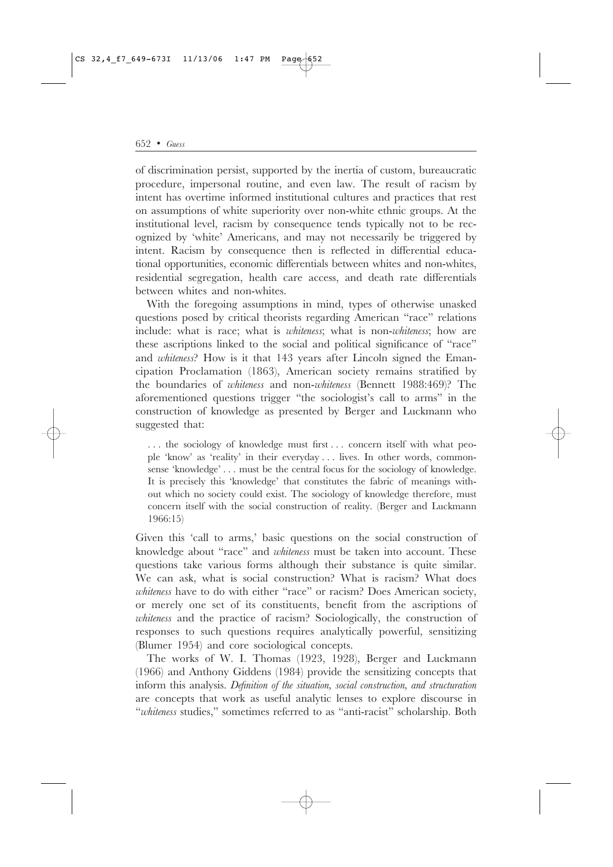of discrimination persist, supported by the inertia of custom, bureaucratic procedure, impersonal routine, and even law. The result of racism by intent has overtime informed institutional cultures and practices that rest on assumptions of white superiority over non-white ethnic groups. At the institutional level, racism by consequence tends typically not to be recognized by 'white' Americans, and may not necessarily be triggered by intent. Racism by consequence then is reflected in differential educational opportunities, economic differentials between whites and non-whites, residential segregation, health care access, and death rate differentials between whites and non-whites.

With the foregoing assumptions in mind, types of otherwise unasked questions posed by critical theorists regarding American "race" relations include: what is race; what is *whiteness*; what is non-whiteness; how are these ascriptions linked to the social and political significance of "race" and whiteness? How is it that 143 years after Lincoln signed the Emancipation Proclamation (1863), American society remains stratified by the boundaries of *whiteness* and non-*whiteness* (Bennett 1988:469)? The aforementioned questions trigger "the sociologist's call to arms" in the construction of knowledge as presented by Berger and Luckmann who suggested that:

... the sociology of knowledge must first... concern itself with what people 'know' as 'reality' in their everyday ... lives. In other words, commonsense 'knowledge' ... must be the central focus for the sociology of knowledge. It is precisely this 'knowledge' that constitutes the fabric of meanings without which no society could exist. The sociology of knowledge therefore, must concern itself with the social construction of reality. (Berger and Luckmann  $1966:15$ 

Given this 'call to arms,' basic questions on the social construction of knowledge about "race" and whiteness must be taken into account. These questions take various forms although their substance is quite similar. We can ask, what is social construction? What is racism? What does whiteness have to do with either "race" or racism? Does American society, or merely one set of its constituents, benefit from the ascriptions of whiteness and the practice of racism? Sociologically, the construction of responses to such questions requires analytically powerful, sensitizing (Blumer 1954) and core sociological concepts.

The works of W. I. Thomas (1923, 1928), Berger and Luckmann (1966) and Anthony Giddens (1984) provide the sensitizing concepts that inform this analysis. Definition of the situation, social construction, and structuration are concepts that work as useful analytic lenses to explore discourse in "whiteness studies," sometimes referred to as "anti-racist" scholarship. Both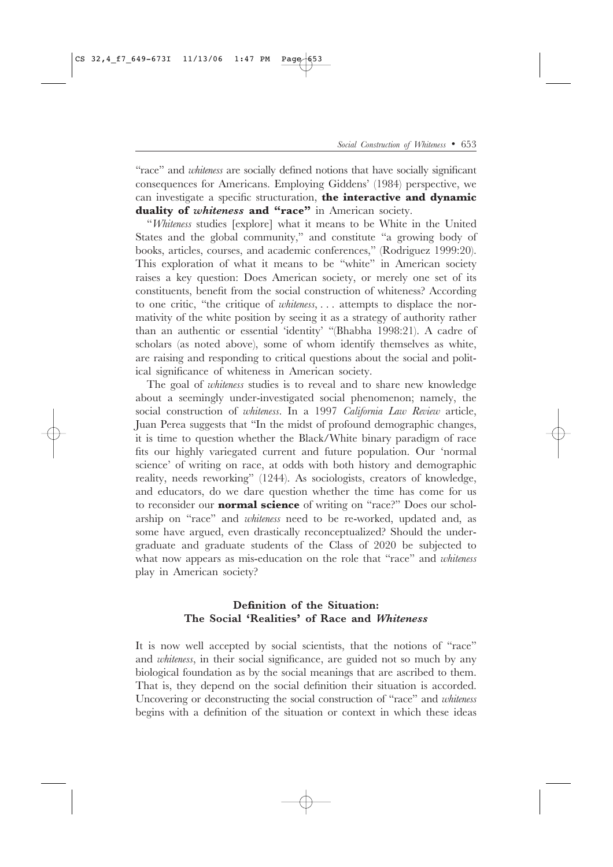"race" and whiteness are socially defined notions that have socially significant consequences for Americans. Employing Giddens' (1984) perspective, we can investigate a specific structuration, the interactive and dynamic duality of whiteness and "race" in American society.

"Whiteness studies [explore] what it means to be White in the United States and the global community," and constitute "a growing body of books, articles, courses, and academic conferences," (Rodriguez 1999:20). This exploration of what it means to be "white" in American society raises a key question: Does American society, or merely one set of its constituents, benefit from the social construction of whiteness? According to one critic, "the critique of whiteness, ... attempts to displace the normativity of the white position by seeing it as a strategy of authority rather than an authentic or essential 'identity' "(Bhabha 1998:21). A cadre of scholars (as noted above), some of whom identify themselves as white, are raising and responding to critical questions about the social and political significance of whiteness in American society.

The goal of whiteness studies is to reveal and to share new knowledge about a seemingly under-investigated social phenomenon; namely, the social construction of whiteness. In a 1997 California Law Review article, Juan Perea suggests that "In the midst of profound demographic changes, it is time to question whether the Black/White binary paradigm of race fits our highly variegated current and future population. Our 'normal science' of writing on race, at odds with both history and demographic reality, needs reworking" (1244). As sociologists, creators of knowledge, and educators, do we dare question whether the time has come for us to reconsider our **normal science** of writing on "race?" Does our scholarship on "race" and whiteness need to be re-worked, updated and, as some have argued, even drastically reconceptualized? Should the undergraduate and graduate students of the Class of 2020 be subjected to what now appears as mis-education on the role that "race" and whiteness play in American society?

## Definition of the Situation: The Social 'Realities' of Race and Whiteness

It is now well accepted by social scientists, that the notions of "race" and whiteness, in their social significance, are guided not so much by any biological foundation as by the social meanings that are ascribed to them. That is, they depend on the social definition their situation is accorded. Uncovering or deconstructing the social construction of "race" and whiteness begins with a definition of the situation or context in which these ideas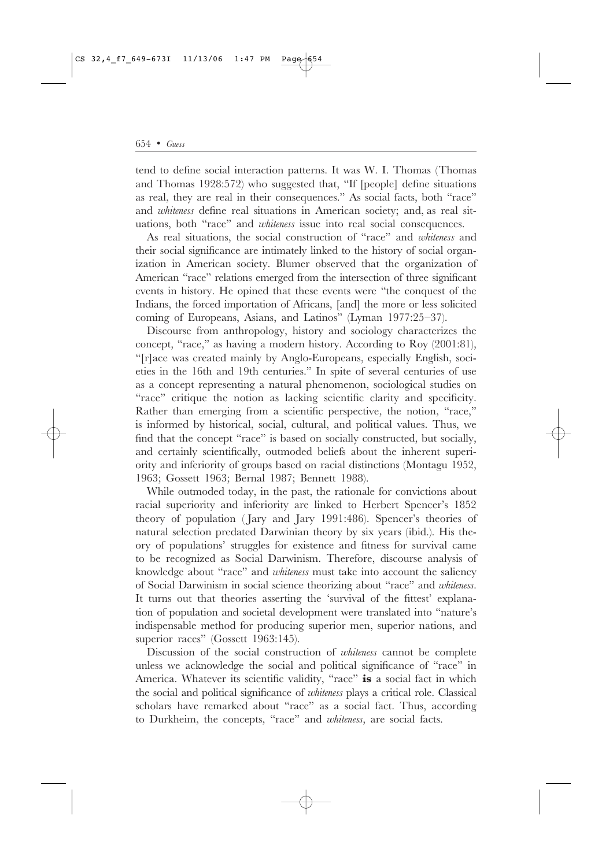tend to define social interaction patterns. It was W. I. Thomas (Thomas and Thomas 1928:572) who suggested that, "If [people] define situations as real, they are real in their consequences." As social facts, both "race" and whiteness define real situations in American society; and, as real situations, both "race" and whiteness issue into real social consequences.

As real situations, the social construction of "race" and whiteness and their social significance are intimately linked to the history of social organization in American society. Blumer observed that the organization of American "race" relations emerged from the intersection of three significant events in history. He opined that these events were "the conquest of the Indians, the forced importation of Africans, [and] the more or less solicited coming of Europeans, Asians, and Latinos" (Lyman 1977:25-37).

Discourse from anthropology, history and sociology characterizes the concept, "race," as having a modern history. According to Roy (2001:81), "[r]ace was created mainly by Anglo-Europeans, especially English, societies in the 16th and 19th centuries." In spite of several centuries of use as a concept representing a natural phenomenon, sociological studies on "race" critique the notion as lacking scientific clarity and specificity. Rather than emerging from a scientific perspective, the notion, "race," is informed by historical, social, cultural, and political values. Thus, we find that the concept "race" is based on socially constructed, but socially, and certainly scientifically, outmoded beliefs about the inherent superiority and inferiority of groups based on racial distinctions (Montagu 1952, 1963; Gossett 1963; Bernal 1987; Bennett 1988).

While outmoded today, in the past, the rationale for convictions about racial superiority and inferiority are linked to Herbert Spencer's 1852 theory of population (Jary and Jary 1991:486). Spencer's theories of natural selection predated Darwinian theory by six years (ibid.). His theory of populations' struggles for existence and fitness for survival came to be recognized as Social Darwinism. Therefore, discourse analysis of knowledge about "race" and whiteness must take into account the saliency of Social Darwinism in social science theorizing about "race" and whiteness. It turns out that theories asserting the 'survival of the fittest' explanation of population and societal development were translated into "nature's indispensable method for producing superior men, superior nations, and superior races" (Gossett 1963:145).

Discussion of the social construction of whiteness cannot be complete unless we acknowledge the social and political significance of "race" in America. Whatever its scientific validity, "race" is a social fact in which the social and political significance of whiteness plays a critical role. Classical scholars have remarked about "race" as a social fact. Thus, according to Durkheim, the concepts, "race" and whiteness, are social facts.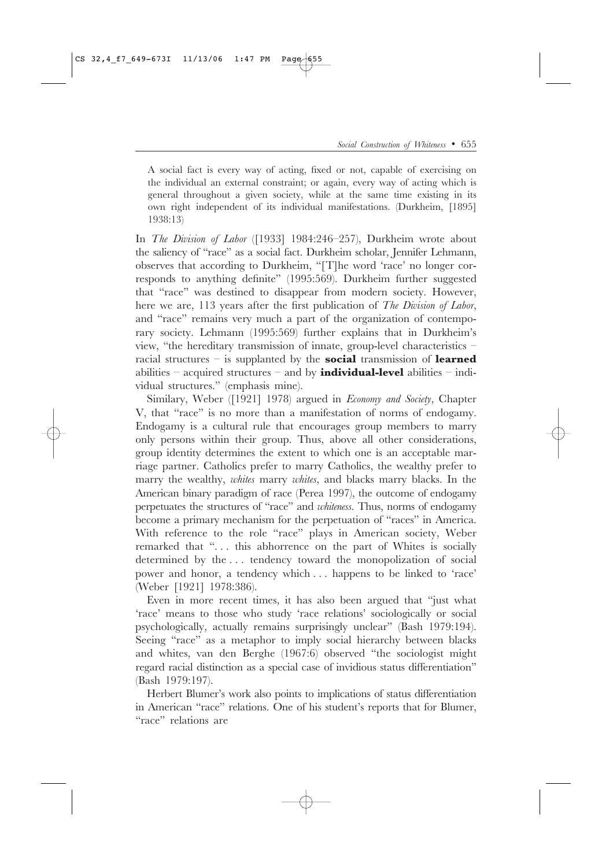A social fact is every way of acting, fixed or not, capable of exercising on the individual an external constraint; or again, every way of acting which is general throughout a given society, while at the same time existing in its own right independent of its individual manifestations. (Durkheim, [1895] 1938:13)

In The Division of Labor ([1933] 1984:246-257), Durkheim wrote about the saliency of "race" as a social fact. Durkheim scholar, Jennifer Lehmann, observes that according to Durkheim, "[T]he word 'race' no longer corresponds to anything definite" (1995:569). Durkheim further suggested that "race" was destined to disappear from modern society. However, here we are, 113 years after the first publication of *The Division of Labor*, and "race" remains very much a part of the organization of contemporary society. Lehmann (1995:569) further explains that in Durkheim's view, "the hereditary transmission of innate, group-level characteristics racial structures  $-$  is supplanted by the **social** transmission of **learned** abilities – acquired structures – and by **individual-level** abilities – individual structures." (emphasis mine).

Similary, Weber ([1921] 1978) argued in *Economy and Society*, Chapter V, that "race" is no more than a manifestation of norms of endogamy. Endogamy is a cultural rule that encourages group members to marry only persons within their group. Thus, above all other considerations, group identity determines the extent to which one is an acceptable marriage partner. Catholics prefer to marry Catholics, the wealthy prefer to marry the wealthy, whites marry whites, and blacks marry blacks. In the American binary paradigm of race (Perea 1997), the outcome of endogamy perpetuates the structures of "race" and whiteness. Thus, norms of endogamy become a primary mechanism for the perpetuation of "races" in America. With reference to the role "race" plays in American society, Weber remarked that "... this abhorrence on the part of Whites is socially determined by the ... tendency toward the monopolization of social power and honor, a tendency which ... happens to be linked to 'race' (Weber [1921] 1978:386).

Even in more recent times, it has also been argued that "just what 'race' means to those who study 'race relations' sociologically or social psychologically, actually remains surprisingly unclear" (Bash 1979:194). Seeing "race" as a metaphor to imply social hierarchy between blacks and whites, van den Berghe (1967:6) observed "the sociologist might regard racial distinction as a special case of invidious status differentiation" (Bash 1979:197).

Herbert Blumer's work also points to implications of status differentiation in American "race" relations. One of his student's reports that for Blumer, "race" relations are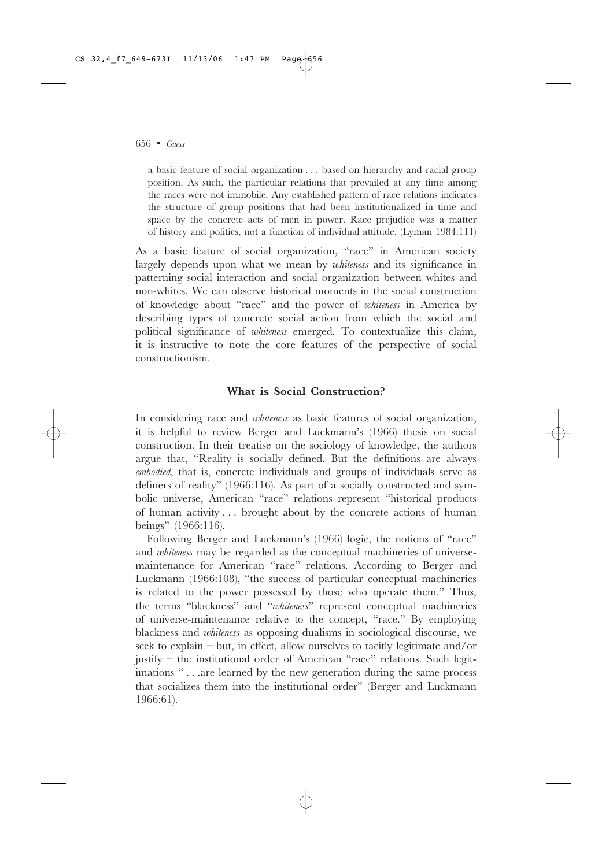a basic feature of social organization . . . based on hierarchy and racial group position. As such, the particular relations that prevailed at any time among the races were not immobile. Any established pattern of race relations indicates the structure of group positions that had been institutionalized in time and space by the concrete acts of men in power. Race prejudice was a matter of history and politics, not a function of individual attitude. (Lyman 1984:111)

As a basic feature of social organization, "race" in American society largely depends upon what we mean by *whiteness* and its significance in patterning social interaction and social organization between whites and non-whites. We can observe historical moments in the social construction of knowledge about "race" and the power of whiteness in America by describing types of concrete social action from which the social and political significance of whiteness emerged. To contextualize this claim, it is instructive to note the core features of the perspective of social constructionism.

## What is Social Construction?

In considering race and whiteness as basic features of social organization, it is helpful to review Berger and Luckmann's (1966) thesis on social construction. In their treatise on the sociology of knowledge, the authors argue that, "Reality is socially defined. But the definitions are always embodied, that is, concrete individuals and groups of individuals serve as definers of reality" (1966:116). As part of a socially constructed and symbolic universe, American "race" relations represent "historical products of human activity ... brought about by the concrete actions of human beings" (1966:116).

Following Berger and Luckmann's (1966) logic, the notions of "race" and whiteness may be regarded as the conceptual machineries of universemaintenance for American "race" relations. According to Berger and Luckmann (1966:108), "the success of particular conceptual machineries is related to the power possessed by those who operate them." Thus, the terms "blackness" and "whiteness" represent conceptual machineries of universe-maintenance relative to the concept, "race." By employing blackness and *whiteness* as opposing dualisms in sociological discourse, we seek to explain – but, in effect, allow ourselves to tacitly legitimate and/or justify – the institutional order of American "race" relations. Such legitimations "...are learned by the new generation during the same process that socializes them into the institutional order" (Berger and Luckmann 1966:61).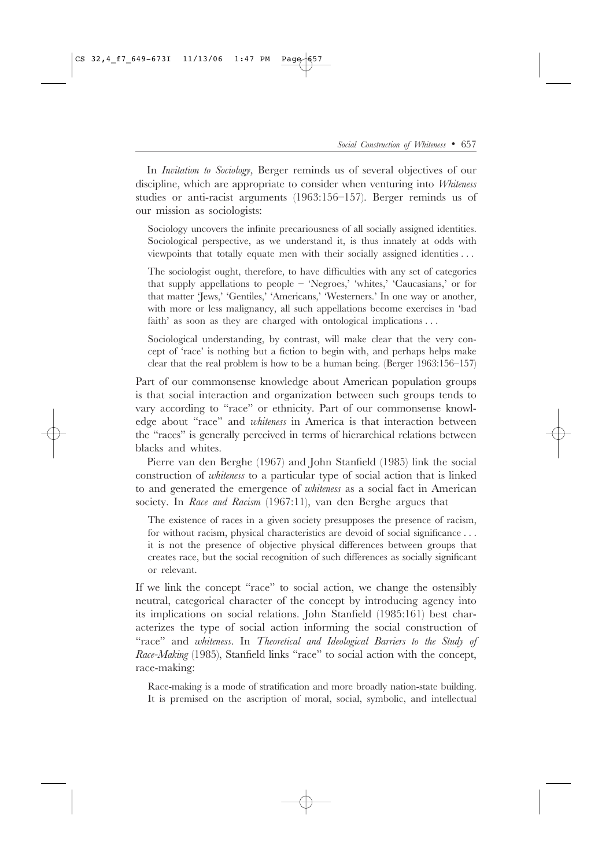In Invitation to Sociology, Berger reminds us of several objectives of our discipline, which are appropriate to consider when venturing into Whiteness studies or anti-racist arguments (1963:156-157). Berger reminds us of our mission as sociologists:

Sociology uncovers the infinite precariousness of all socially assigned identities. Sociological perspective, as we understand it, is thus innately at odds with viewpoints that totally equate men with their socially assigned identities ...

The sociologist ought, therefore, to have difficulties with any set of categories that supply appellations to people - 'Negroes,' 'whites,' 'Caucasians,' or for that matter 'Jews,' 'Gentiles,' 'Americans,' 'Westerners.' In one way or another, with more or less malignancy, all such appellations become exercises in 'bad faith' as soon as they are charged with ontological implications...

Sociological understanding, by contrast, will make clear that the very concept of 'race' is nothing but a fiction to begin with, and perhaps helps make clear that the real problem is how to be a human being. (Berger 1963:156-157)

Part of our commonsense knowledge about American population groups is that social interaction and organization between such groups tends to vary according to "race" or ethnicity. Part of our commonsense knowledge about "race" and whiteness in America is that interaction between the "races" is generally perceived in terms of hierarchical relations between blacks and whites.

Pierre van den Berghe (1967) and John Stanfield (1985) link the social construction of whiteness to a particular type of social action that is linked to and generated the emergence of whiteness as a social fact in American society. In Race and Racism (1967:11), van den Berghe argues that

The existence of races in a given society presupposes the presence of racism, for without racism, physical characteristics are devoid of social significance ... it is not the presence of objective physical differences between groups that creates race, but the social recognition of such differences as socially significant or relevant.

If we link the concept "race" to social action, we change the ostensibly neutral, categorical character of the concept by introducing agency into its implications on social relations. John Stanfield (1985:161) best characterizes the type of social action informing the social construction of "race" and whiteness. In Theoretical and Ideological Barriers to the Study of Race-Making (1985), Stanfield links "race" to social action with the concept, race-making:

Race-making is a mode of stratification and more broadly nation-state building. It is premised on the ascription of moral, social, symbolic, and intellectual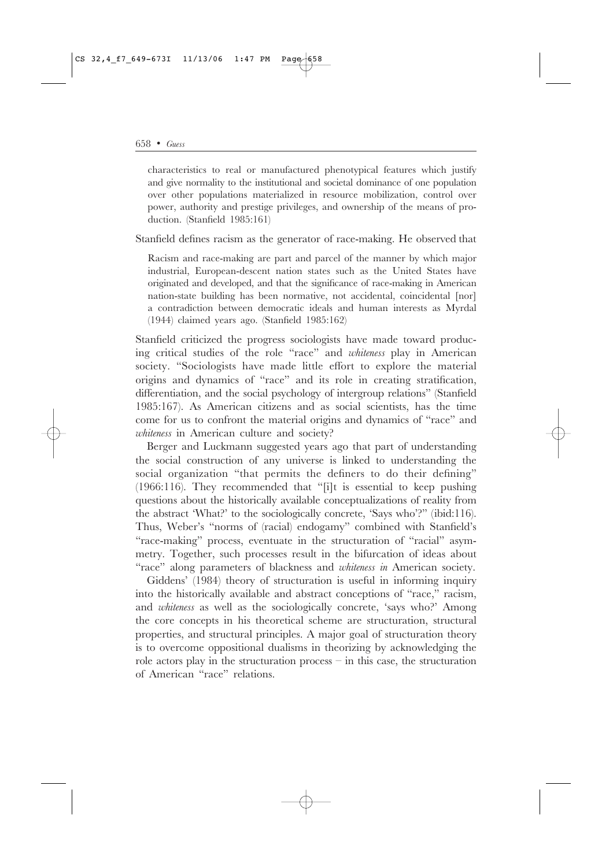characteristics to real or manufactured phenotypical features which justify and give normality to the institutional and societal dominance of one population over other populations materialized in resource mobilization, control over power, authority and prestige privileges, and ownership of the means of production. (Stanfield 1985:161)

Stanfield defines racism as the generator of race-making. He observed that

Racism and race-making are part and parcel of the manner by which major industrial, European-descent nation states such as the United States have originated and developed, and that the significance of race-making in American nation-state building has been normative, not accidental, coincidental [nor] a contradiction between democratic ideals and human interests as Myrdal  $(1944)$  claimed vears ago. (Stanfield 1985:162)

Stanfield criticized the progress sociologists have made toward producing critical studies of the role "race" and whiteness play in American society. "Sociologists have made little effort to explore the material origins and dynamics of "race" and its role in creating stratification, differentiation, and the social psychology of intergroup relations" (Stanfield 1985:167). As American citizens and as social scientists, has the time come for us to confront the material origins and dynamics of "race" and whiteness in American culture and society?

Berger and Luckmann suggested years ago that part of understanding the social construction of any universe is linked to understanding the social organization "that permits the definers to do their defining"  $(1966:116)$ . They recommended that "[i]t is essential to keep pushing questions about the historically available conceptualizations of reality from the abstract 'What?' to the sociologically concrete, 'Says who'?" (ibid:116). Thus, Weber's "norms of (racial) endogamy" combined with Stanfield's "race-making" process, eventuate in the structuration of "racial" asymmetry. Together, such processes result in the bifurcation of ideas about "race" along parameters of blackness and whiteness in American society.

Giddens' (1984) theory of structuration is useful in informing inquiry into the historically available and abstract conceptions of "race," racism, and *whiteness* as well as the sociologically concrete, 'says who?' Among the core concepts in his theoretical scheme are structuration, structural properties, and structural principles. A major goal of structuration theory is to overcome oppositional dualisms in theorizing by acknowledging the role actors play in the structuration process  $-$  in this case, the structuration of American "race" relations.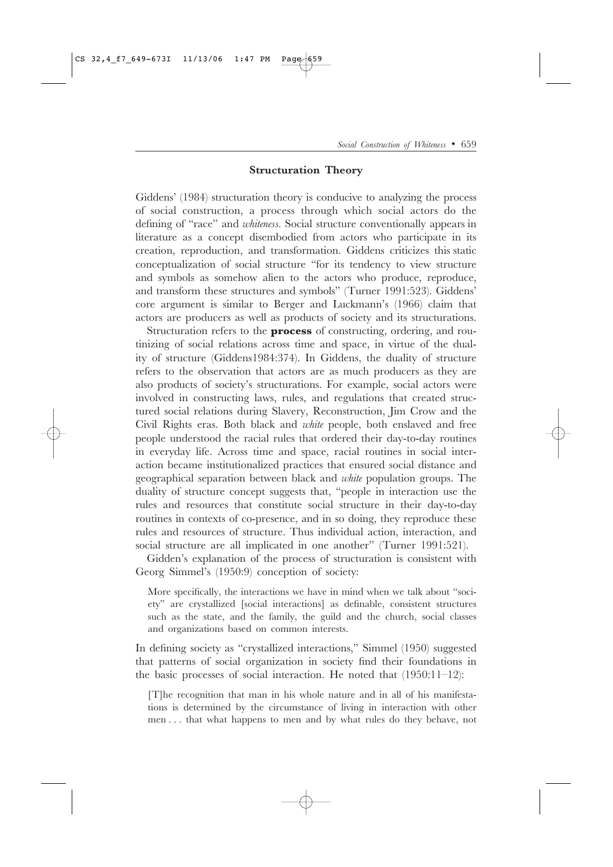## **Structuration Theory**

Giddens' (1984) structuration theory is conducive to analyzing the process of social construction, a process through which social actors do the defining of "race" and whiteness. Social structure conventionally appears in literature as a concept disembodied from actors who participate in its creation, reproduction, and transformation. Giddens criticizes this static conceptualization of social structure "for its tendency to view structure and symbols as somehow alien to the actors who produce, reproduce, and transform these structures and symbols" (Turner 1991:523). Giddens' core argument is similar to Berger and Luckmann's (1966) claim that actors are producers as well as products of society and its structurations.

Structuration refers to the **process** of constructing, ordering, and routinizing of social relations across time and space, in virtue of the duality of structure (Giddens1984:374). In Giddens, the duality of structure refers to the observation that actors are as much producers as they are also products of society's structurations. For example, social actors were involved in constructing laws, rules, and regulations that created structured social relations during Slavery, Reconstruction, Jim Crow and the Civil Rights eras. Both black and white people, both enslaved and free people understood the racial rules that ordered their day-to-day routines in everyday life. Across time and space, racial routines in social interaction became institutionalized practices that ensured social distance and geographical separation between black and *white* population groups. The duality of structure concept suggests that, "people in interaction use the rules and resources that constitute social structure in their day-to-day routines in contexts of co-presence, and in so doing, they reproduce these rules and resources of structure. Thus individual action, interaction, and social structure are all implicated in one another" (Turner 1991:521).

Gidden's explanation of the process of structuration is consistent with Georg Simmel's (1950:9) conception of society:

More specifically, the interactions we have in mind when we talk about "society" are crystallized [social interactions] as definable, consistent structures such as the state, and the family, the guild and the church, social classes and organizations based on common interests.

In defining society as "crystallized interactions," Simmel (1950) suggested that patterns of social organization in society find their foundations in the basic processes of social interaction. He noted that  $(1950:11-12)$ :

[T]he recognition that man in his whole nature and in all of his manifestations is determined by the circumstance of living in interaction with other men... that what happens to men and by what rules do they behave, not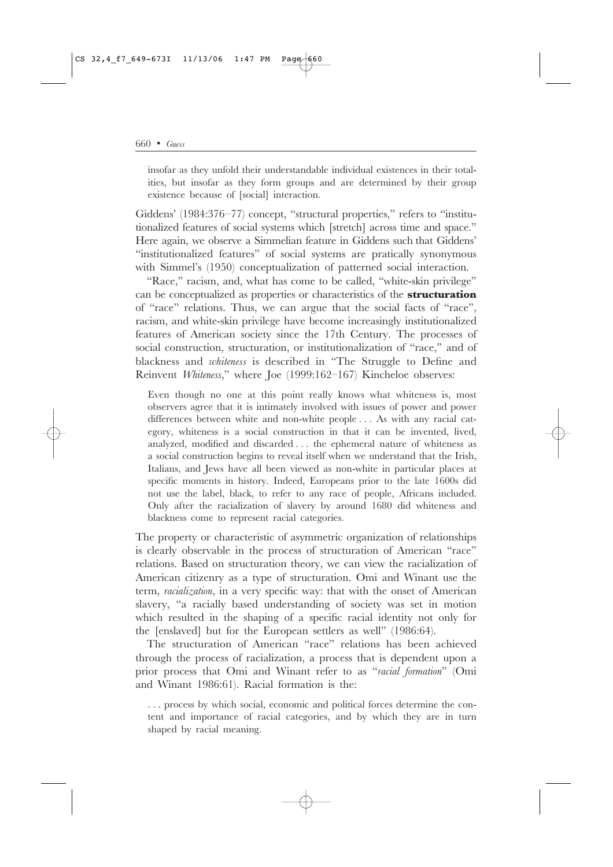insofar as they unfold their understandable individual existences in their totalities, but insofar as they form groups and are determined by their group existence because of [social] interaction.

Giddens' (1984:376-77) concept, "structural properties," refers to "institutionalized features of social systems which [stretch] across time and space." Here again, we observe a Simmelian feature in Giddens such that Giddens' "institutionalized features" of social systems are pratically synonymous with Simmel's (1950) conceptualization of patterned social interaction.

"Race," racism, and, what has come to be called, "white-skin privilege" can be conceptualized as properties or characteristics of the **structuration** of "race" relations. Thus, we can argue that the social facts of "race", racism, and white-skin privilege have become increasingly institutionalized features of American society since the 17th Century. The processes of social construction, structuration, or institutionalization of "race," and of blackness and whiteness is described in "The Struggle to Define and Reinvent Whiteness," where Joe (1999:162-167) Kincheloe observes:

Even though no one at this point really knows what whiteness is, most observers agree that it is intimately involved with issues of power and power differences between white and non-white people ... As with any racial category, whiteness is a social construction in that it can be invented, lived, analyzed, modified and discarded ... the ephemeral nature of whiteness as a social construction begins to reveal itself when we understand that the Irish, Italians, and Jews have all been viewed as non-white in particular places at specific moments in history. Indeed, Europeans prior to the late 1600s did not use the label, black, to refer to any race of people, Africans included. Only after the racialization of slavery by around 1680 did whiteness and blackness come to represent racial categories.

The property or characteristic of asymmetric organization of relationships is clearly observable in the process of structuration of American "race" relations. Based on structuration theory, we can view the racialization of American citizenry as a type of structuration. Omi and Winant use the term, racialization, in a very specific way: that with the onset of American slavery, "a racially based understanding of society was set in motion which resulted in the shaping of a specific racial identity not only for the [enslaved] but for the European settlers as well" (1986:64).

The structuration of American "race" relations has been achieved through the process of racialization, a process that is dependent upon a prior process that Omi and Winant refer to as "racial formation" (Omi and Winant 1986:61). Racial formation is the:

... process by which social, economic and political forces determine the content and importance of racial categories, and by which they are in turn shaped by racial meaning.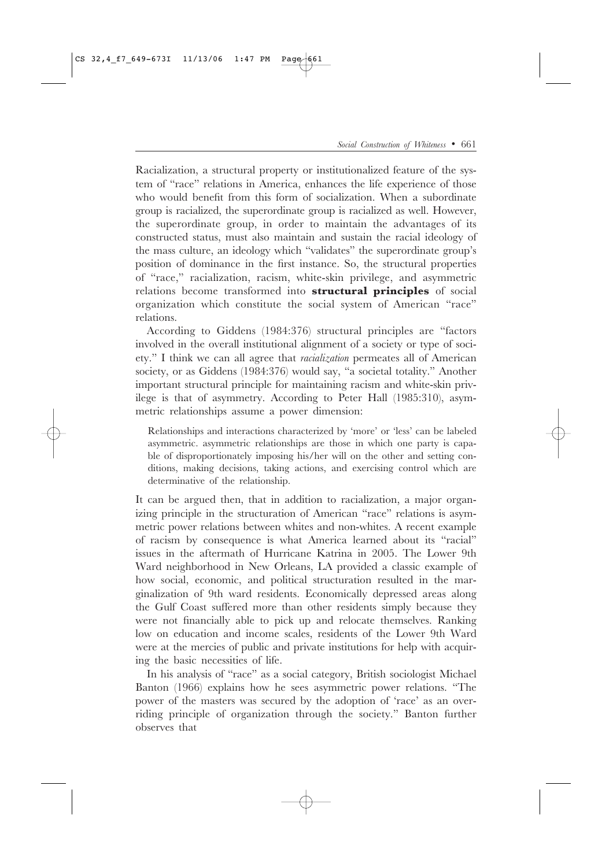Racialization, a structural property or institutionalized feature of the system of "race" relations in America, enhances the life experience of those who would benefit from this form of socialization. When a subordinate group is racialized, the superordinate group is racialized as well. However, the superordinate group, in order to maintain the advantages of its constructed status, must also maintain and sustain the racial ideology of the mass culture, an ideology which "validates" the superordinate group's position of dominance in the first instance. So, the structural properties of "race," racialization, racism, white-skin privilege, and asymmetric relations become transformed into structural principles of social organization which constitute the social system of American "race" relations.

According to Giddens (1984:376) structural principles are "factors involved in the overall institutional alignment of a society or type of society." I think we can all agree that *racialization* permeates all of American society, or as Giddens (1984:376) would say, "a societal totality." Another important structural principle for maintaining racism and white-skin privilege is that of asymmetry. According to Peter Hall (1985:310), asymmetric relationships assume a power dimension:

Relationships and interactions characterized by 'more' or 'less' can be labeled asymmetric. asymmetric relationships are those in which one party is capable of disproportionately imposing his/her will on the other and setting conditions, making decisions, taking actions, and exercising control which are determinative of the relationship.

It can be argued then, that in addition to racialization, a major organizing principle in the structuration of American "race" relations is asymmetric power relations between whites and non-whites. A recent example of racism by consequence is what America learned about its "racial" issues in the aftermath of Hurricane Katrina in 2005. The Lower 9th Ward neighborhood in New Orleans, LA provided a classic example of how social, economic, and political structuration resulted in the marginalization of 9th ward residents. Economically depressed areas along the Gulf Coast suffered more than other residents simply because they were not financially able to pick up and relocate themselves. Ranking low on education and income scales, residents of the Lower 9th Ward were at the mercies of public and private institutions for help with acquiring the basic necessities of life.

In his analysis of "race" as a social category, British sociologist Michael Banton (1966) explains how he sees asymmetric power relations. "The power of the masters was secured by the adoption of 'race' as an overriding principle of organization through the society." Banton further observes that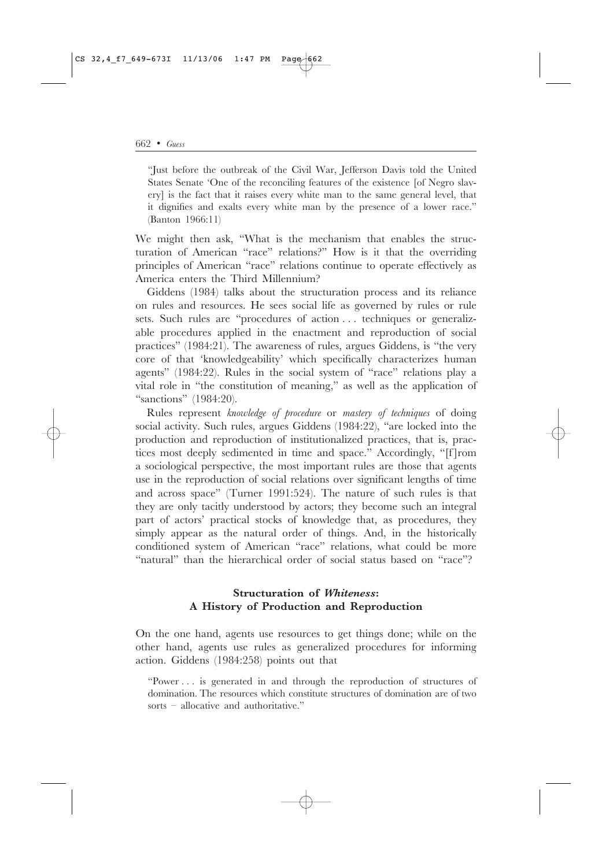"Just before the outbreak of the Civil War, Jefferson Davis told the United States Senate 'One of the reconciling features of the existence [of Negro slavery] is the fact that it raises every white man to the same general level, that it dignifies and exalts every white man by the presence of a lower race." (Banton 1966:11)

We might then ask, "What is the mechanism that enables the structuration of American "race" relations?" How is it that the overriding principles of American "race" relations continue to operate effectively as America enters the Third Millennium?

Giddens (1984) talks about the structuration process and its reliance on rules and resources. He sees social life as governed by rules or rule sets. Such rules are "procedures of action... techniques or generalizable procedures applied in the enactment and reproduction of social practices" (1984:21). The awareness of rules, argues Giddens, is "the very core of that 'knowledgeability' which specifically characterizes human agents" (1984:22). Rules in the social system of "race" relations play a vital role in "the constitution of meaning," as well as the application of "sanctions" (1984:20).

Rules represent knowledge of procedure or mastery of techniques of doing social activity. Such rules, argues Giddens (1984:22), "are locked into the production and reproduction of institutionalized practices, that is, practices most deeply sedimented in time and space." Accordingly, "[f]rom a sociological perspective, the most important rules are those that agents use in the reproduction of social relations over significant lengths of time and across space" (Turner 1991:524). The nature of such rules is that they are only tacitly understood by actors; they become such an integral part of actors' practical stocks of knowledge that, as procedures, they simply appear as the natural order of things. And, in the historically conditioned system of American "race" relations, what could be more "natural" than the hierarchical order of social status based on "race"?

# **Structuration of Whiteness:** A History of Production and Reproduction

On the one hand, agents use resources to get things done; while on the other hand, agents use rules as generalized procedures for informing action. Giddens (1984:258) points out that

"Power ... is generated in and through the reproduction of structures of domination. The resources which constitute structures of domination are of two sorts  $-$  allocative and authoritative."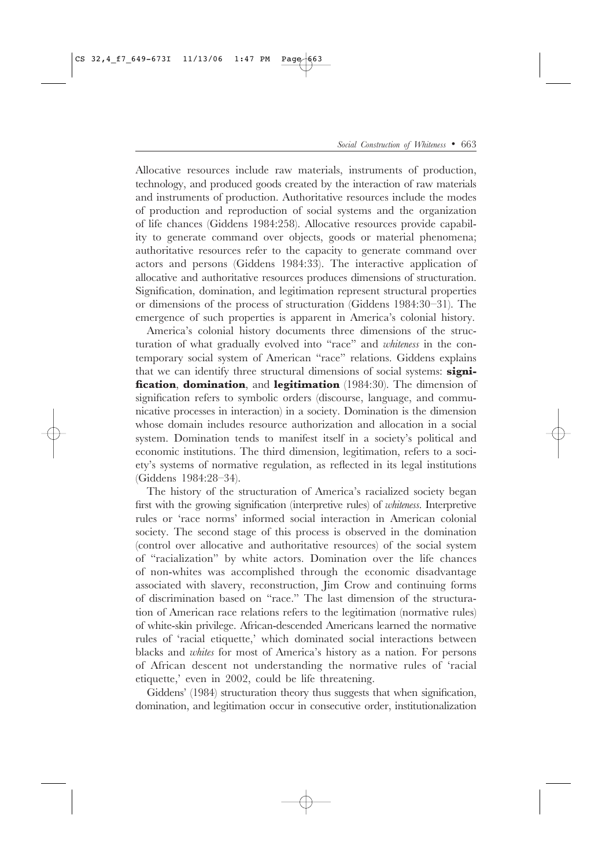Allocative resources include raw materials, instruments of production, technology, and produced goods created by the interaction of raw materials and instruments of production. Authoritative resources include the modes of production and reproduction of social systems and the organization of life chances (Giddens 1984:258). Allocative resources provide capability to generate command over objects, goods or material phenomena; authoritative resources refer to the capacity to generate command over actors and persons (Giddens 1984:33). The interactive application of allocative and authoritative resources produces dimensions of structuration. Signification, domination, and legitimation represent structural properties or dimensions of the process of structuration (Giddens 1984:30-31). The emergence of such properties is apparent in America's colonial history.

America's colonial history documents three dimensions of the structuration of what gradually evolved into "race" and whiteness in the contemporary social system of American "race" relations. Giddens explains that we can identify three structural dimensions of social systems: signification, domination, and legitimation (1984:30). The dimension of signification refers to symbolic orders (discourse, language, and communicative processes in interaction) in a society. Domination is the dimension whose domain includes resource authorization and allocation in a social system. Domination tends to manifest itself in a society's political and economic institutions. The third dimension, legitimation, refers to a society's systems of normative regulation, as reflected in its legal institutions (Giddens 1984:28-34).

The history of the structuration of America's racialized society began first with the growing signification (interpretive rules) of whiteness. Interpretive rules or 'race norms' informed social interaction in American colonial society. The second stage of this process is observed in the domination (control over allocative and authoritative resources) of the social system of "racialization" by white actors. Domination over the life chances of non-whites was accomplished through the economic disadvantage associated with slavery, reconstruction, Jim Crow and continuing forms of discrimination based on "race." The last dimension of the structuration of American race relations refers to the legitimation (normative rules) of white-skin privilege. African-descended Americans learned the normative rules of 'racial etiquette,' which dominated social interactions between blacks and whites for most of America's history as a nation. For persons of African descent not understanding the normative rules of 'racial etiquette,' even in 2002, could be life threatening.

Giddens' (1984) structuration theory thus suggests that when signification, domination, and legitimation occur in consecutive order, institutionalization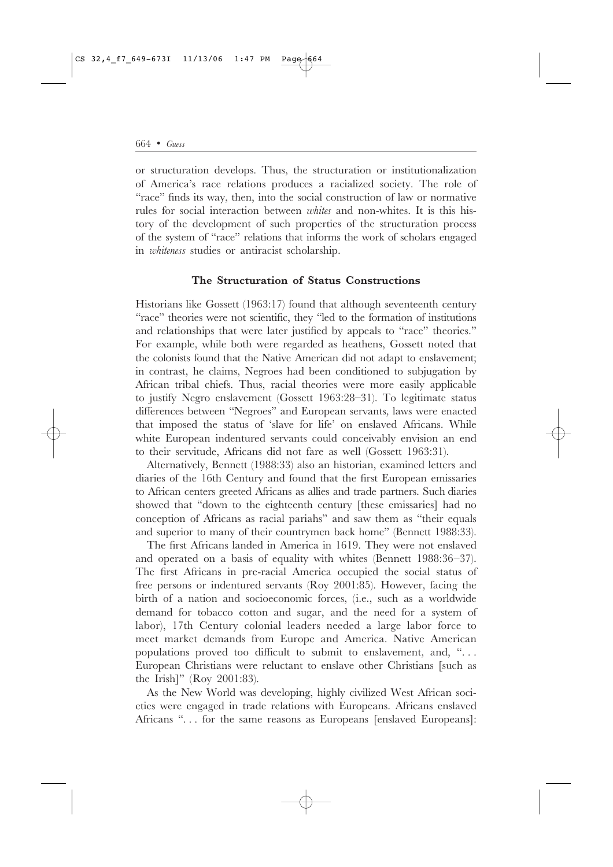or structuration develops. Thus, the structuration or institutionalization of America's race relations produces a racialized society. The role of "race" finds its way, then, into the social construction of law or normative rules for social interaction between *whites* and non-whites. It is this history of the development of such properties of the structuration process of the system of "race" relations that informs the work of scholars engaged in whiteness studies or antiracist scholarship.

## The Structuration of Status Constructions

Historians like Gossett (1963:17) found that although seventeenth century "race" theories were not scientific, they "led to the formation of institutions and relationships that were later justified by appeals to "race" theories." For example, while both were regarded as heathens, Gossett noted that the colonists found that the Native American did not adapt to enslavement; in contrast, he claims, Negroes had been conditioned to subjugation by African tribal chiefs. Thus, racial theories were more easily applicable to justify Negro enslavement (Gossett 1963:28-31). To legitimate status differences between "Negroes" and European servants, laws were enacted that imposed the status of 'slave for life' on enslaved Africans. While white European indentured servants could conceivably envision an end to their servitude, Africans did not fare as well (Gossett 1963:31).

Alternatively, Bennett (1988:33) also an historian, examined letters and diaries of the 16th Century and found that the first European emissaries to African centers greeted Africans as allies and trade partners. Such diaries showed that "down to the eighteenth century [these emissaries] had no conception of Africans as racial pariahs" and saw them as "their equals and superior to many of their countrymen back home" (Bennett 1988:33).

The first Africans landed in America in 1619. They were not enslaved and operated on a basis of equality with whites (Bennett 1988:36-37). The first Africans in pre-racial America occupied the social status of free persons or indentured servants (Roy 2001:85). However, facing the birth of a nation and socioeconomic forces, (i.e., such as a worldwide demand for tobacco cotton and sugar, and the need for a system of labor), 17th Century colonial leaders needed a large labor force to meet market demands from Europe and America. Native American populations proved too difficult to submit to enslavement, and, "... European Christians were reluctant to enslave other Christians [such as the Irish]" (Roy 2001:83).

As the New World was developing, highly civilized West African societies were engaged in trade relations with Europeans. Africans enslaved Africans "... for the same reasons as Europeans [enslaved Europeans]: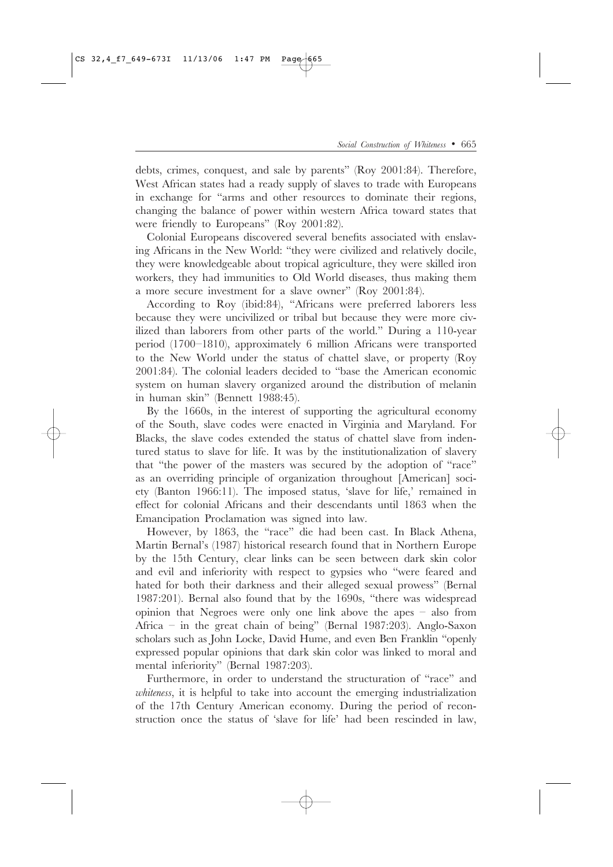debts, crimes, conquest, and sale by parents" (Roy 2001:84). Therefore, West African states had a ready supply of slaves to trade with Europeans in exchange for "arms and other resources to dominate their regions, changing the balance of power within western Africa toward states that were friendly to Europeans" (Roy 2001:82).

Colonial Europeans discovered several benefits associated with enslaving Africans in the New World: "they were civilized and relatively docile, they were knowledgeable about tropical agriculture, they were skilled iron workers, they had immunities to Old World diseases, thus making them a more secure investment for a slave owner" (Roy 2001:84).

According to Roy (ibid:84), "Africans were preferred laborers less because they were uncivilized or tribal but because they were more civilized than laborers from other parts of the world." During a 110-year period (1700-1810), approximately 6 million Africans were transported to the New World under the status of chattel slave, or property (Roy 2001:84). The colonial leaders decided to "base the American economic system on human slavery organized around the distribution of melanin in human skin" (Bennett 1988:45).

By the 1660s, in the interest of supporting the agricultural economy of the South, slave codes were enacted in Virginia and Maryland. For Blacks, the slave codes extended the status of chattel slave from indentured status to slave for life. It was by the institutionalization of slavery that "the power of the masters was secured by the adoption of "race" as an overriding principle of organization throughout [American] society (Banton 1966:11). The imposed status, 'slave for life,' remained in effect for colonial Africans and their descendants until 1863 when the Emancipation Proclamation was signed into law.

However, by 1863, the "race" die had been cast. In Black Athena, Martin Bernal's (1987) historical research found that in Northern Europe by the 15th Century, clear links can be seen between dark skin color and evil and inferiority with respect to gypsies who "were feared and hated for both their darkness and their alleged sexual prowess" (Bernal 1987:201). Bernal also found that by the 1690s, "there was widespread opinion that Negroes were only one link above the apes  $-$  also from Africa - in the great chain of being" (Bernal 1987:203). Anglo-Saxon scholars such as John Locke, David Hume, and even Ben Franklin "openly expressed popular opinions that dark skin color was linked to moral and mental inferiority" (Bernal 1987:203).

Furthermore, in order to understand the structuration of "race" and whiteness, it is helpful to take into account the emerging industrialization of the 17th Century American economy. During the period of reconstruction once the status of 'slave for life' had been rescinded in law,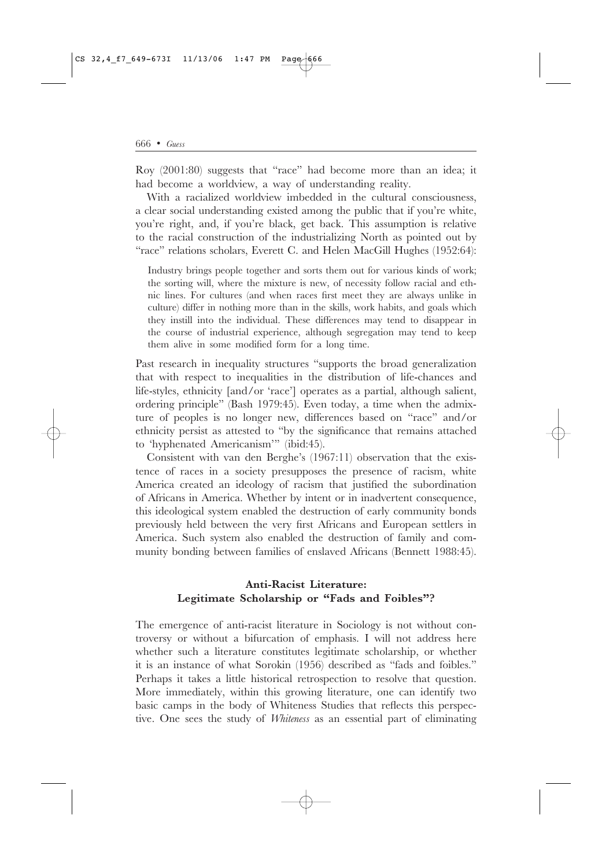Roy (2001:80) suggests that "race" had become more than an idea; it had become a worldview, a way of understanding reality.

With a racialized worldview imbedded in the cultural consciousness, a clear social understanding existed among the public that if you're white, you're right, and, if you're black, get back. This assumption is relative to the racial construction of the industrializing North as pointed out by "race" relations scholars, Everett C. and Helen MacGill Hughes (1952:64):

Industry brings people together and sorts them out for various kinds of work; the sorting will, where the mixture is new, of necessity follow racial and ethnic lines. For cultures (and when races first meet they are always unlike in culture) differ in nothing more than in the skills, work habits, and goals which they instill into the individual. These differences may tend to disappear in the course of industrial experience, although segregation may tend to keep them alive in some modified form for a long time.

Past research in inequality structures "supports the broad generalization that with respect to inequalities in the distribution of life-chances and life-styles, ethnicity [and/or 'race'] operates as a partial, although salient, ordering principle" (Bash 1979:45). Even today, a time when the admixture of peoples is no longer new, differences based on "race" and/or ethnicity persist as attested to "by the significance that remains attached to 'hyphenated Americanism'" (ibid:45).

Consistent with van den Berghe's (1967:11) observation that the existence of races in a society presupposes the presence of racism, white America created an ideology of racism that justified the subordination of Africans in America. Whether by intent or in inadvertent consequence, this ideological system enabled the destruction of early community bonds previously held between the very first Africans and European settlers in America. Such system also enabled the destruction of family and community bonding between families of enslaved Africans (Bennett 1988:45).

## **Anti-Racist Literature:** Legitimate Scholarship or "Fads and Foibles"?

The emergence of anti-racist literature in Sociology is not without controversy or without a bifurcation of emphasis. I will not address here whether such a literature constitutes legitimate scholarship, or whether it is an instance of what Sorokin (1956) described as "fads and foibles." Perhaps it takes a little historical retrospection to resolve that question. More immediately, within this growing literature, one can identify two basic camps in the body of Whiteness Studies that reflects this perspective. One sees the study of *Whiteness* as an essential part of eliminating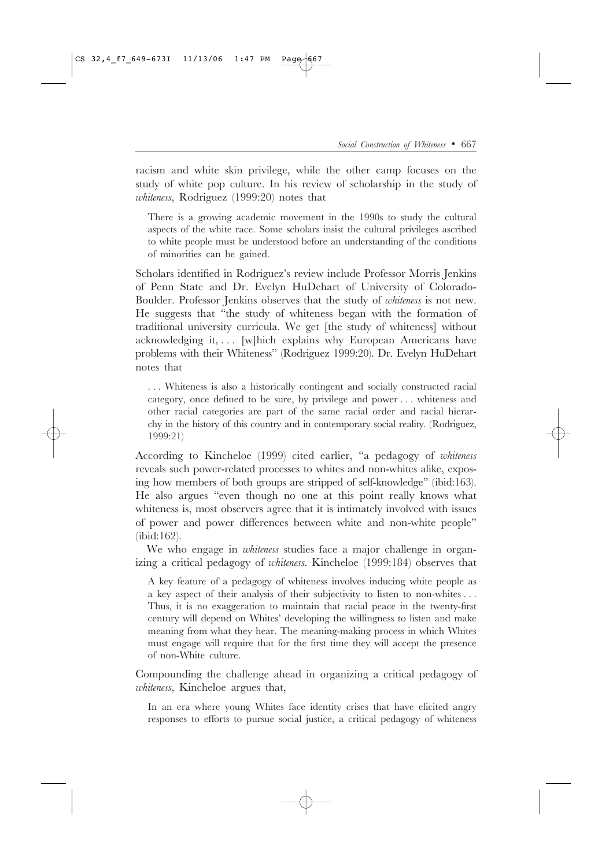racism and white skin privilege, while the other camp focuses on the study of white pop culture. In his review of scholarship in the study of whiteness, Rodriguez (1999:20) notes that

There is a growing academic movement in the 1990s to study the cultural aspects of the white race. Some scholars insist the cultural privileges ascribed to white people must be understood before an understanding of the conditions of minorities can be gained.

Scholars identified in Rodriguez's review include Professor Morris Jenkins of Penn State and Dr. Evelyn HuDehart of University of Colorado-Boulder. Professor Jenkins observes that the study of whiteness is not new. He suggests that "the study of whiteness began with the formation of traditional university curricula. We get [the study of whiteness] without acknowledging it, ... [w]hich explains why European Americans have problems with their Whiteness" (Rodriguez 1999:20). Dr. Evelyn HuDehart notes that

... Whiteness is also a historically contingent and socially constructed racial category, once defined to be sure, by privilege and power ... whiteness and other racial categories are part of the same racial order and racial hierarchy in the history of this country and in contemporary social reality. (Rodriguez, 1999:21)

According to Kincheloe (1999) cited earlier, "a pedagogy of whiteness reveals such power-related processes to whites and non-whites alike, exposing how members of both groups are stripped of self-knowledge" (ibid:163). He also argues "even though no one at this point really knows what whiteness is, most observers agree that it is intimately involved with issues of power and power differences between white and non-white people"  $(ibid:162).$ 

We who engage in *whiteness* studies face a major challenge in organizing a critical pedagogy of whiteness. Kincheloe (1999:184) observes that

A key feature of a pedagogy of whiteness involves inducing white people as a key aspect of their analysis of their subjectivity to listen to non-whites ... Thus, it is no exaggeration to maintain that racial peace in the twenty-first century will depend on Whites' developing the willingness to listen and make meaning from what they hear. The meaning-making process in which Whites must engage will require that for the first time they will accept the presence of non-White culture.

Compounding the challenge ahead in organizing a critical pedagogy of whiteness, Kincheloe argues that,

In an era where young Whites face identity crises that have elicited angry responses to efforts to pursue social justice, a critical pedagogy of whiteness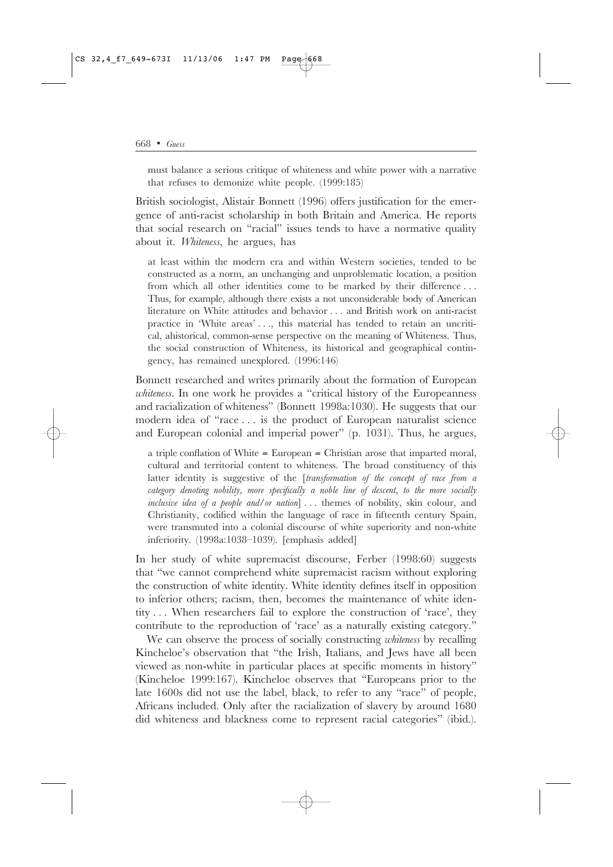must balance a serious critique of whiteness and white power with a narrative that refuses to demonize white people. (1999:185)

British sociologist, Alistair Bonnett (1996) offers justification for the emergence of anti-racist scholarship in both Britain and America. He reports that social research on "racial" issues tends to have a normative quality about it. Whiteness, he argues, has

at least within the modern era and within Western societies, tended to be constructed as a norm, an unchanging and unproblematic location, a position from which all other identities come to be marked by their difference... Thus, for example, although there exists a not unconsiderable body of American literature on White attitudes and behavior . . . and British work on anti-racist practice in 'White areas' ..., this material has tended to retain an uncritical, ahistorical, common-sense perspective on the meaning of Whiteness. Thus, the social construction of Whiteness, its historical and geographical contingency, has remained unexplored. (1996:146)

Bonnett researched and writes primarily about the formation of European whiteness. In one work he provides a "critical history of the Europeanness and racialization of whiteness" (Bonnett 1998a:1030). He suggests that our modern idea of "race ... is the product of European naturalist science and European colonial and imperial power" (p. 1031). Thus, he argues,

a triple conflation of White = European = Christian arose that imparted moral, cultural and territorial content to whiteness. The broad constituency of this latter identity is suggestive of the [transformation of the concept of race from a category denoting nobility, more specifically a noble line of descent, to the more socially inclusive idea of a people and/or nation] ... themes of nobility, skin colour, and Christianity, codified within the language of race in fifteenth century Spain, were transmuted into a colonial discourse of white superiority and non-white inferiority. (1998a:1038-1039). [emphasis added]

In her study of white supremacist discourse, Ferber (1998:60) suggests that "we cannot comprehend white supremacist racism without exploring the construction of white identity. White identity defines itself in opposition to inferior others; racism, then, becomes the maintenance of white identity... When researchers fail to explore the construction of 'race', they contribute to the reproduction of 'race' as a naturally existing category."

We can observe the process of socially constructing whiteness by recalling Kincheloe's observation that "the Irish, Italians, and Jews have all been viewed as non-white in particular places at specific moments in history" (Kincheloe 1999:167). Kincheloe observes that "Europeans prior to the late 1600s did not use the label, black, to refer to any "race" of people, Africans included. Only after the racialization of slavery by around 1680 did whiteness and blackness come to represent racial categories" (ibid.).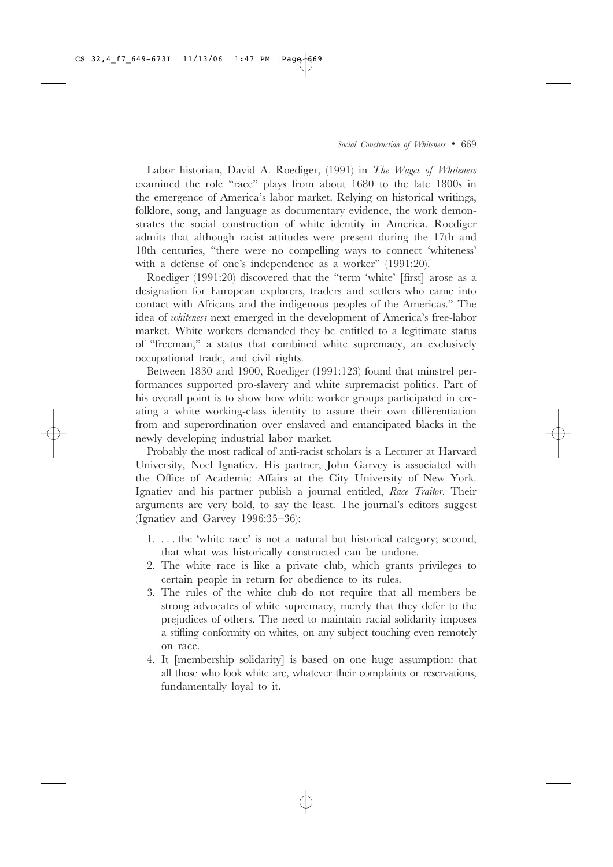Labor historian, David A. Roediger, (1991) in The Wages of Whiteness examined the role "race" plays from about 1680 to the late 1800s in the emergence of America's labor market. Relying on historical writings, folklore, song, and language as documentary evidence, the work demonstrates the social construction of white identity in America. Roediger admits that although racist attitudes were present during the 17th and 18th centuries, "there were no compelling ways to connect 'whiteness' with a defense of one's independence as a worker" (1991:20).

Roediger (1991:20) discovered that the "term 'white' [first] arose as a designation for European explorers, traders and settlers who came into contact with Africans and the indigenous peoples of the Americas." The idea of whiteness next emerged in the development of America's free-labor market. White workers demanded they be entitled to a legitimate status of "freeman," a status that combined white supremacy, an exclusively occupational trade, and civil rights.

Between 1830 and 1900, Roediger (1991:123) found that minstrel performances supported pro-slavery and white supremacist politics. Part of his overall point is to show how white worker groups participated in creating a white working-class identity to assure their own differentiation from and superordination over enslaved and emancipated blacks in the newly developing industrial labor market.

Probably the most radical of anti-racist scholars is a Lecturer at Harvard University, Noel Ignatiev. His partner, John Garvey is associated with the Office of Academic Affairs at the City University of New York. Ignatiev and his partner publish a journal entitled, Race Traitor. Their arguments are very bold, to say the least. The journal's editors suggest (Ignatiev and Garvey 1996:35-36):

- 1. ... the 'white race' is not a natural but historical category; second, that what was historically constructed can be undone.
- 2. The white race is like a private club, which grants privileges to certain people in return for obedience to its rules.
- 3. The rules of the white club do not require that all members be strong advocates of white supremacy, merely that they defer to the prejudices of others. The need to maintain racial solidarity imposes a stifling conformity on whites, on any subject touching even remotely on race.
- 4. It [membership solidarity] is based on one huge assumption: that all those who look white are, whatever their complaints or reservations, fundamentally loyal to it.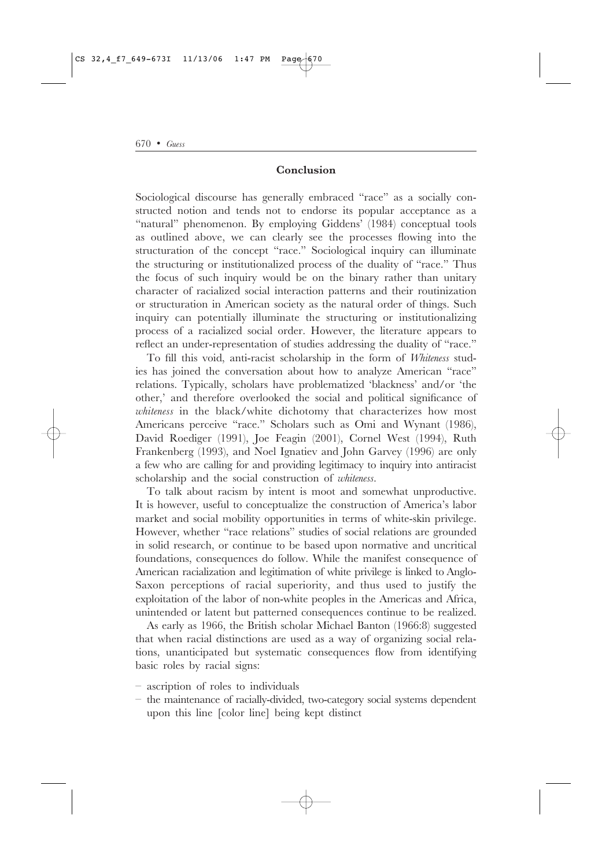## Conclusion

Sociological discourse has generally embraced "race" as a socially constructed notion and tends not to endorse its popular acceptance as a "natural" phenomenon. By employing Giddens' (1984) conceptual tools as outlined above, we can clearly see the processes flowing into the structuration of the concept "race." Sociological inquiry can illuminate the structuring or institutionalized process of the duality of "race." Thus the focus of such inquiry would be on the binary rather than unitary character of racialized social interaction patterns and their routinization or structuration in American society as the natural order of things. Such inquiry can potentially illuminate the structuring or institutionalizing process of a racialized social order. However, the literature appears to reflect an under-representation of studies addressing the duality of "race."

To fill this void, anti-racist scholarship in the form of Whiteness studies has joined the conversation about how to analyze American "race" relations. Typically, scholars have problematized 'blackness' and/or 'the other,' and therefore overlooked the social and political significance of whiteness in the black/white dichotomy that characterizes how most Americans perceive "race." Scholars such as Omi and Wynant (1986), David Roediger (1991), Joe Feagin (2001), Cornel West (1994), Ruth Frankenberg (1993), and Noel Ignatiev and John Garvey (1996) are only a few who are calling for and providing legitimacy to inquiry into antiracist scholarship and the social construction of whiteness.

To talk about racism by intent is moot and somewhat unproductive. It is however, useful to conceptualize the construction of America's labor market and social mobility opportunities in terms of white-skin privilege. However, whether "race relations" studies of social relations are grounded in solid research, or continue to be based upon normative and uncritical foundations, consequences do follow. While the manifest consequence of American racialization and legitimation of white privilege is linked to Anglo-Saxon perceptions of racial superiority, and thus used to justify the exploitation of the labor of non-white peoples in the Americas and Africa, unintended or latent but patterned consequences continue to be realized.

As early as 1966, the British scholar Michael Banton (1966:8) suggested that when racial distinctions are used as a way of organizing social relations, unanticipated but systematic consequences flow from identifying basic roles by racial signs:

- ascription of roles to individuals
- the maintenance of racially-divided, two-category social systems dependent upon this line [color line] being kept distinct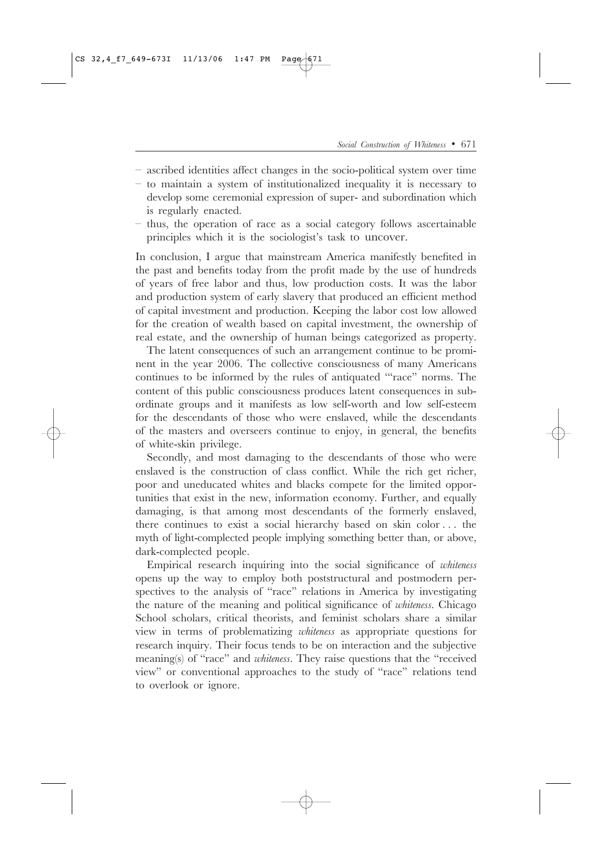- ascribed identities affect changes in the socio-political system over time
- to maintain a system of institutionalized inequality it is necessary to develop some ceremonial expression of super- and subordination which is regularly enacted.
- thus, the operation of race as a social category follows ascertainable principles which it is the sociologist's task to uncover.

In conclusion, I argue that mainstream America manifestly benefited in the past and benefits today from the profit made by the use of hundreds of years of free labor and thus, low production costs. It was the labor and production system of early slavery that produced an efficient method of capital investment and production. Keeping the labor cost low allowed for the creation of wealth based on capital investment, the ownership of real estate, and the ownership of human beings categorized as property.

The latent consequences of such an arrangement continue to be prominent in the year 2006. The collective consciousness of many Americans continues to be informed by the rules of antiquated "race" norms. The content of this public consciousness produces latent consequences in subordinate groups and it manifests as low self-worth and low self-esteem for the descendants of those who were enslaved, while the descendants of the masters and overseers continue to enjoy, in general, the benefits of white-skin privilege.

Secondly, and most damaging to the descendants of those who were enslaved is the construction of class conflict. While the rich get richer, poor and uneducated whites and blacks compete for the limited opportunities that exist in the new, information economy. Further, and equally damaging, is that among most descendants of the formerly enslaved, there continues to exist a social hierarchy based on skin color ... the myth of light-complected people implying something better than, or above, dark-complected people.

Empirical research inquiring into the social significance of whiteness opens up the way to employ both poststructural and postmodern perspectives to the analysis of "race" relations in America by investigating the nature of the meaning and political significance of whiteness. Chicago School scholars, critical theorists, and feminist scholars share a similar view in terms of problematizing *whiteness* as appropriate questions for research inquiry. Their focus tends to be on interaction and the subjective meaning(s) of "race" and whiteness. They raise questions that the "received view" or conventional approaches to the study of "race" relations tend to overlook or ignore.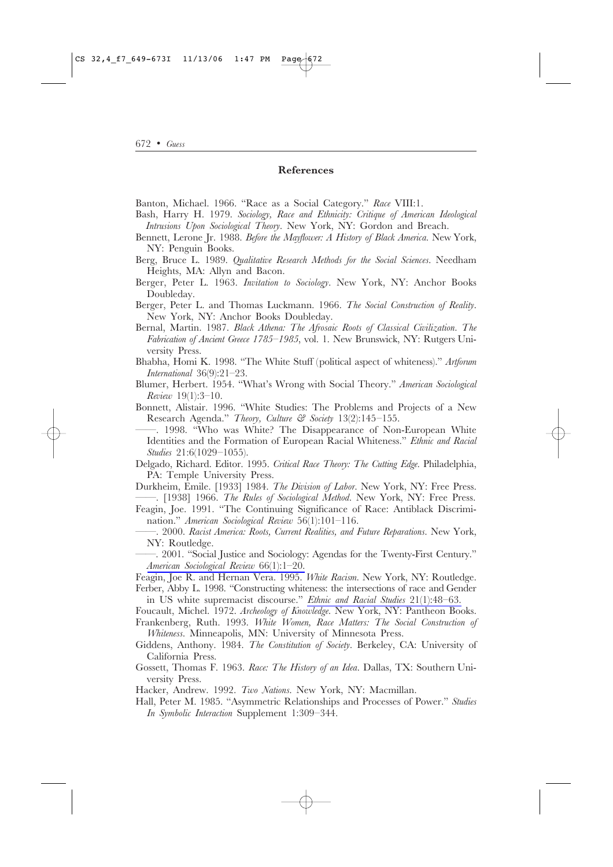#### **References**

- Banton, Michael. 1966. "Race as a Social Category." Race VIII:1.
- Bash, Harry H. 1979. Sociology, Race and Ethnicity: Critique of American Ideological Intrusions Upon Sociological Theory. New York, NY: Gordon and Breach.
- Bennett, Lerone Jr. 1988. Before the Mayflower: A History of Black America. New York, NY: Penguin Books.
- Berg, Bruce L. 1989. Qualitative Research Methods for the Social Sciences. Needham Heights, MA: Allyn and Bacon.
- Berger, Peter L. 1963. Invitation to Sociology. New York, NY: Anchor Books Doubleday.
- Berger, Peter L. and Thomas Luckmann. 1966. The Social Construction of Reality. New York, NY: Anchor Books Doubleday.
- Bernal, Martin. 1987. Black Athena: The Afrosaic Roots of Classical Civilization. The Fabrication of Ancient Greece 1785–1985, vol. 1. New Brunswick, NY: Rutgers University Press.
- Bhabha, Homi K. 1998. "The White Stuff (political aspect of whiteness)." Artforum International  $36(9):21-23$ .
- Blumer, Herbert. 1954. "What's Wrong with Social Theory." American Sociological Review 19(1):3-10.
- Bonnett, Alistair. 1996. "White Studies: The Problems and Projects of a New Research Agenda." Theory, Culture & Society 13(2):145-155.

-. 1998. "Who was White? The Disappearance of Non-European White Identities and the Formation of European Racial Whiteness." Ethnic and Racial Studies 21:6(1029-1055).

- Delgado, Richard. Editor. 1995. Critical Race Theory: The Cutting Edge. Philadelphia, PA: Temple University Press.
- Durkheim, Emile. [1933] 1984. The Division of Labor. New York, NY: Free Press. -. [1938] 1966. The Rules of Sociological Method. New York, NY: Free Press.
- Feagin, Joe. 1991. "The Continuing Significance of Race: Antiblack Discrimination." American Sociological Review 56(1):101-116.
	- -. 2000. Racist America: Roots, Current Realities, and Future Reparations. New York, NY: Routledge.
	- 2001. "Social Justice and Sociology: Agendas for the Twenty-First Century." American Sociological Review 66(1):1-20.
- Feagin, Joe R. and Hernan Vera. 1995. White Racism. New York, NY: Routledge. Ferber, Abby L. 1998. "Constructing whiteness: the intersections of race and Gender

in US white supremacist discourse." Ethnic and Racial Studies 21(1):48-63.

- Foucault, Michel. 1972. Archeology of Knowledge. New York, NY: Pantheon Books.
- Frankenberg, Ruth. 1993. White Women, Race Matters: The Social Construction of Whiteness. Minneapolis, MN: University of Minnesota Press.
- Giddens, Anthony. 1984. The Constitution of Society. Berkeley, CA: University of California Press.
- Gossett, Thomas F. 1963. Race: The History of an Idea. Dallas, TX: Southern University Press.
- Hacker, Andrew. 1992. Two Nations. New York, NY: Macmillan.
- Hall, Peter M. 1985. "Asymmetric Relationships and Processes of Power." Studies In Symbolic Interaction Supplement 1:309-344.